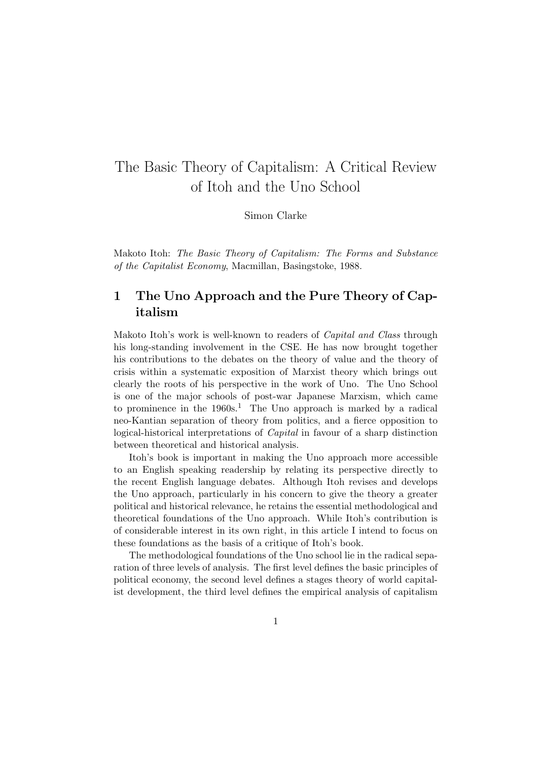# The Basic Theory of Capitalism: A Critical Review of Itoh and the Uno School

Simon Clarke

Makoto Itoh: The Basic Theory of Capitalism: The Forms and Substance of the Capitalist Economy, Macmillan, Basingstoke, 1988.

## 1 The Uno Approach and the Pure Theory of Capitalism

Makoto Itoh's work is well-known to readers of *Capital and Class* through his long-standing involvement in the CSE. He has now brought together his contributions to the debates on the theory of value and the theory of crisis within a systematic exposition of Marxist theory which brings out clearly the roots of his perspective in the work of Uno. The Uno School is one of the major schools of post-war Japanese Marxism, which came to prominence in the  $1960s<sup>1</sup>$ . The Uno approach is marked by a radical neo-Kantian separation of theory from politics, and a fierce opposition to logical-historical interpretations of Capital in favour of a sharp distinction between theoretical and historical analysis.

Itoh's book is important in making the Uno approach more accessible to an English speaking readership by relating its perspective directly to the recent English language debates. Although Itoh revises and develops the Uno approach, particularly in his concern to give the theory a greater political and historical relevance, he retains the essential methodological and theoretical foundations of the Uno approach. While Itoh's contribution is of considerable interest in its own right, in this article I intend to focus on these foundations as the basis of a critique of Itoh's book.

The methodological foundations of the Uno school lie in the radical separation of three levels of analysis. The first level defines the basic principles of political economy, the second level defines a stages theory of world capitalist development, the third level defines the empirical analysis of capitalism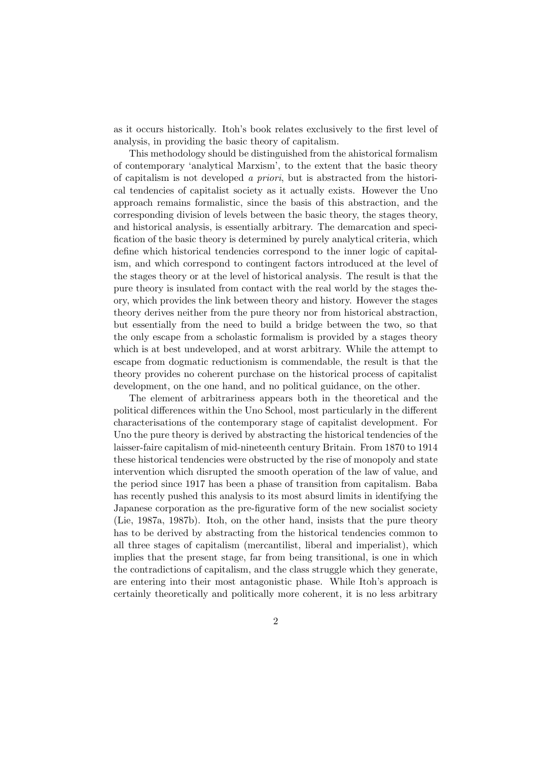as it occurs historically. Itoh's book relates exclusively to the first level of analysis, in providing the basic theory of capitalism.

This methodology should be distinguished from the ahistorical formalism of contemporary 'analytical Marxism', to the extent that the basic theory of capitalism is not developed a priori, but is abstracted from the historical tendencies of capitalist society as it actually exists. However the Uno approach remains formalistic, since the basis of this abstraction, and the corresponding division of levels between the basic theory, the stages theory, and historical analysis, is essentially arbitrary. The demarcation and specification of the basic theory is determined by purely analytical criteria, which define which historical tendencies correspond to the inner logic of capitalism, and which correspond to contingent factors introduced at the level of the stages theory or at the level of historical analysis. The result is that the pure theory is insulated from contact with the real world by the stages theory, which provides the link between theory and history. However the stages theory derives neither from the pure theory nor from historical abstraction, but essentially from the need to build a bridge between the two, so that the only escape from a scholastic formalism is provided by a stages theory which is at best undeveloped, and at worst arbitrary. While the attempt to escape from dogmatic reductionism is commendable, the result is that the theory provides no coherent purchase on the historical process of capitalist development, on the one hand, and no political guidance, on the other.

The element of arbitrariness appears both in the theoretical and the political differences within the Uno School, most particularly in the different characterisations of the contemporary stage of capitalist development. For Uno the pure theory is derived by abstracting the historical tendencies of the laisser-faire capitalism of mid-nineteenth century Britain. From 1870 to 1914 these historical tendencies were obstructed by the rise of monopoly and state intervention which disrupted the smooth operation of the law of value, and the period since 1917 has been a phase of transition from capitalism. Baba has recently pushed this analysis to its most absurd limits in identifying the Japanese corporation as the pre-figurative form of the new socialist society (Lie, 1987a, 1987b). Itoh, on the other hand, insists that the pure theory has to be derived by abstracting from the historical tendencies common to all three stages of capitalism (mercantilist, liberal and imperialist), which implies that the present stage, far from being transitional, is one in which the contradictions of capitalism, and the class struggle which they generate, are entering into their most antagonistic phase. While Itoh's approach is certainly theoretically and politically more coherent, it is no less arbitrary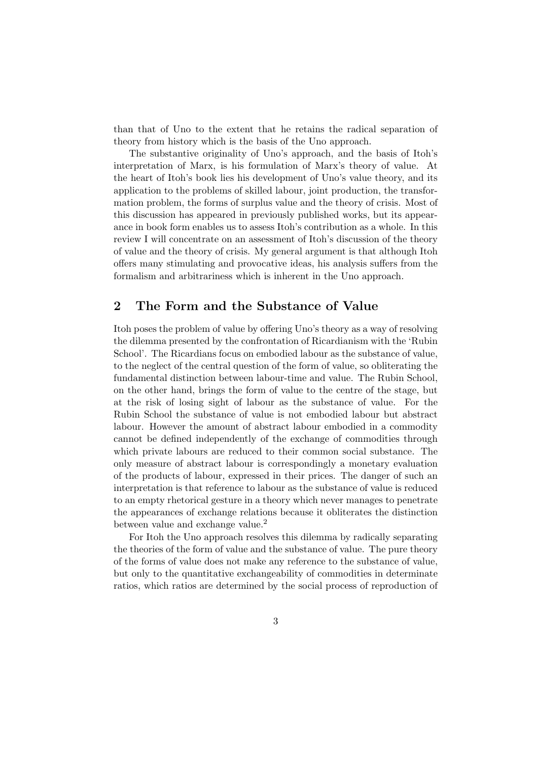than that of Uno to the extent that he retains the radical separation of theory from history which is the basis of the Uno approach.

The substantive originality of Uno's approach, and the basis of Itoh's interpretation of Marx, is his formulation of Marx's theory of value. At the heart of Itoh's book lies his development of Uno's value theory, and its application to the problems of skilled labour, joint production, the transformation problem, the forms of surplus value and the theory of crisis. Most of this discussion has appeared in previously published works, but its appearance in book form enables us to assess Itoh's contribution as a whole. In this review I will concentrate on an assessment of Itoh's discussion of the theory of value and the theory of crisis. My general argument is that although Itoh offers many stimulating and provocative ideas, his analysis suffers from the formalism and arbitrariness which is inherent in the Uno approach.

### 2 The Form and the Substance of Value

Itoh poses the problem of value by offering Uno's theory as a way of resolving the dilemma presented by the confrontation of Ricardianism with the 'Rubin School'. The Ricardians focus on embodied labour as the substance of value, to the neglect of the central question of the form of value, so obliterating the fundamental distinction between labour-time and value. The Rubin School, on the other hand, brings the form of value to the centre of the stage, but at the risk of losing sight of labour as the substance of value. For the Rubin School the substance of value is not embodied labour but abstract labour. However the amount of abstract labour embodied in a commodity cannot be defined independently of the exchange of commodities through which private labours are reduced to their common social substance. The only measure of abstract labour is correspondingly a monetary evaluation of the products of labour, expressed in their prices. The danger of such an interpretation is that reference to labour as the substance of value is reduced to an empty rhetorical gesture in a theory which never manages to penetrate the appearances of exchange relations because it obliterates the distinction between value and exchange value.<sup>2</sup>

For Itoh the Uno approach resolves this dilemma by radically separating the theories of the form of value and the substance of value. The pure theory of the forms of value does not make any reference to the substance of value, but only to the quantitative exchangeability of commodities in determinate ratios, which ratios are determined by the social process of reproduction of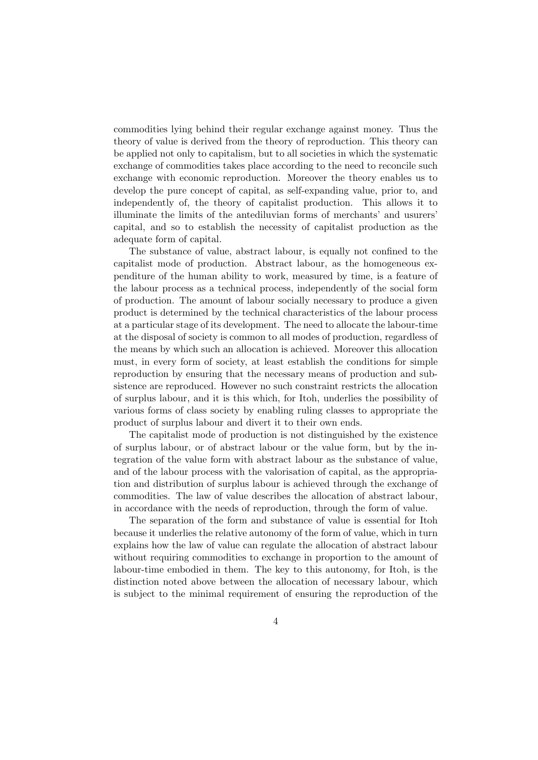commodities lying behind their regular exchange against money. Thus the theory of value is derived from the theory of reproduction. This theory can be applied not only to capitalism, but to all societies in which the systematic exchange of commodities takes place according to the need to reconcile such exchange with economic reproduction. Moreover the theory enables us to develop the pure concept of capital, as self-expanding value, prior to, and independently of, the theory of capitalist production. This allows it to illuminate the limits of the antediluvian forms of merchants' and usurers' capital, and so to establish the necessity of capitalist production as the adequate form of capital.

The substance of value, abstract labour, is equally not confined to the capitalist mode of production. Abstract labour, as the homogeneous expenditure of the human ability to work, measured by time, is a feature of the labour process as a technical process, independently of the social form of production. The amount of labour socially necessary to produce a given product is determined by the technical characteristics of the labour process at a particular stage of its development. The need to allocate the labour-time at the disposal of society is common to all modes of production, regardless of the means by which such an allocation is achieved. Moreover this allocation must, in every form of society, at least establish the conditions for simple reproduction by ensuring that the necessary means of production and subsistence are reproduced. However no such constraint restricts the allocation of surplus labour, and it is this which, for Itoh, underlies the possibility of various forms of class society by enabling ruling classes to appropriate the product of surplus labour and divert it to their own ends.

The capitalist mode of production is not distinguished by the existence of surplus labour, or of abstract labour or the value form, but by the integration of the value form with abstract labour as the substance of value, and of the labour process with the valorisation of capital, as the appropriation and distribution of surplus labour is achieved through the exchange of commodities. The law of value describes the allocation of abstract labour, in accordance with the needs of reproduction, through the form of value.

The separation of the form and substance of value is essential for Itoh because it underlies the relative autonomy of the form of value, which in turn explains how the law of value can regulate the allocation of abstract labour without requiring commodities to exchange in proportion to the amount of labour-time embodied in them. The key to this autonomy, for Itoh, is the distinction noted above between the allocation of necessary labour, which is subject to the minimal requirement of ensuring the reproduction of the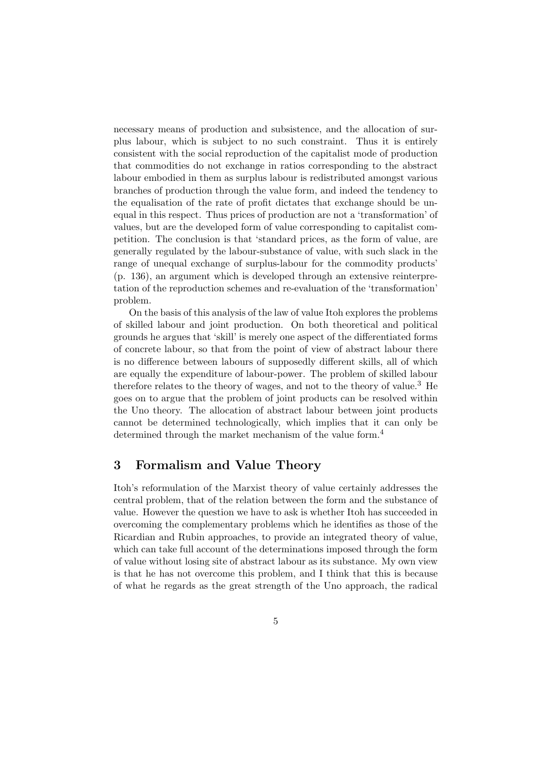necessary means of production and subsistence, and the allocation of surplus labour, which is subject to no such constraint. Thus it is entirely consistent with the social reproduction of the capitalist mode of production that commodities do not exchange in ratios corresponding to the abstract labour embodied in them as surplus labour is redistributed amongst various branches of production through the value form, and indeed the tendency to the equalisation of the rate of profit dictates that exchange should be unequal in this respect. Thus prices of production are not a 'transformation' of values, but are the developed form of value corresponding to capitalist competition. The conclusion is that 'standard prices, as the form of value, are generally regulated by the labour-substance of value, with such slack in the range of unequal exchange of surplus-labour for the commodity products' (p. 136), an argument which is developed through an extensive reinterpretation of the reproduction schemes and re-evaluation of the 'transformation' problem.

On the basis of this analysis of the law of value Itoh explores the problems of skilled labour and joint production. On both theoretical and political grounds he argues that 'skill' is merely one aspect of the differentiated forms of concrete labour, so that from the point of view of abstract labour there is no difference between labours of supposedly different skills, all of which are equally the expenditure of labour-power. The problem of skilled labour therefore relates to the theory of wages, and not to the theory of value.<sup>3</sup> He goes on to argue that the problem of joint products can be resolved within the Uno theory. The allocation of abstract labour between joint products cannot be determined technologically, which implies that it can only be determined through the market mechanism of the value form.<sup>4</sup>

#### 3 Formalism and Value Theory

Itoh's reformulation of the Marxist theory of value certainly addresses the central problem, that of the relation between the form and the substance of value. However the question we have to ask is whether Itoh has succeeded in overcoming the complementary problems which he identifies as those of the Ricardian and Rubin approaches, to provide an integrated theory of value, which can take full account of the determinations imposed through the form of value without losing site of abstract labour as its substance. My own view is that he has not overcome this problem, and I think that this is because of what he regards as the great strength of the Uno approach, the radical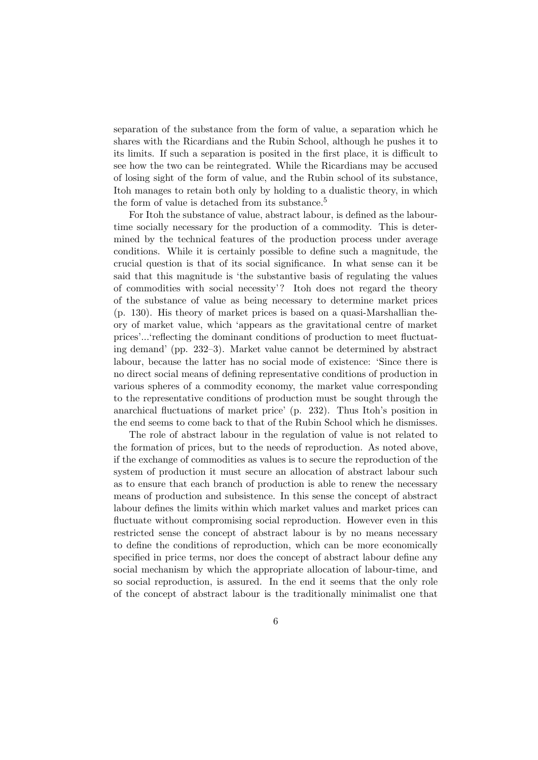separation of the substance from the form of value, a separation which he shares with the Ricardians and the Rubin School, although he pushes it to its limits. If such a separation is posited in the first place, it is difficult to see how the two can be reintegrated. While the Ricardians may be accused of losing sight of the form of value, and the Rubin school of its substance, Itoh manages to retain both only by holding to a dualistic theory, in which the form of value is detached from its substance.<sup>5</sup>

For Itoh the substance of value, abstract labour, is defined as the labourtime socially necessary for the production of a commodity. This is determined by the technical features of the production process under average conditions. While it is certainly possible to define such a magnitude, the crucial question is that of its social significance. In what sense can it be said that this magnitude is 'the substantive basis of regulating the values of commodities with social necessity'? Itoh does not regard the theory of the substance of value as being necessary to determine market prices (p. 130). His theory of market prices is based on a quasi-Marshallian theory of market value, which 'appears as the gravitational centre of market prices'...'reflecting the dominant conditions of production to meet fluctuating demand' (pp. 232–3). Market value cannot be determined by abstract labour, because the latter has no social mode of existence: 'Since there is no direct social means of defining representative conditions of production in various spheres of a commodity economy, the market value corresponding to the representative conditions of production must be sought through the anarchical fluctuations of market price' (p. 232). Thus Itoh's position in the end seems to come back to that of the Rubin School which he dismisses.

The role of abstract labour in the regulation of value is not related to the formation of prices, but to the needs of reproduction. As noted above, if the exchange of commodities as values is to secure the reproduction of the system of production it must secure an allocation of abstract labour such as to ensure that each branch of production is able to renew the necessary means of production and subsistence. In this sense the concept of abstract labour defines the limits within which market values and market prices can fluctuate without compromising social reproduction. However even in this restricted sense the concept of abstract labour is by no means necessary to define the conditions of reproduction, which can be more economically specified in price terms, nor does the concept of abstract labour define any social mechanism by which the appropriate allocation of labour-time, and so social reproduction, is assured. In the end it seems that the only role of the concept of abstract labour is the traditionally minimalist one that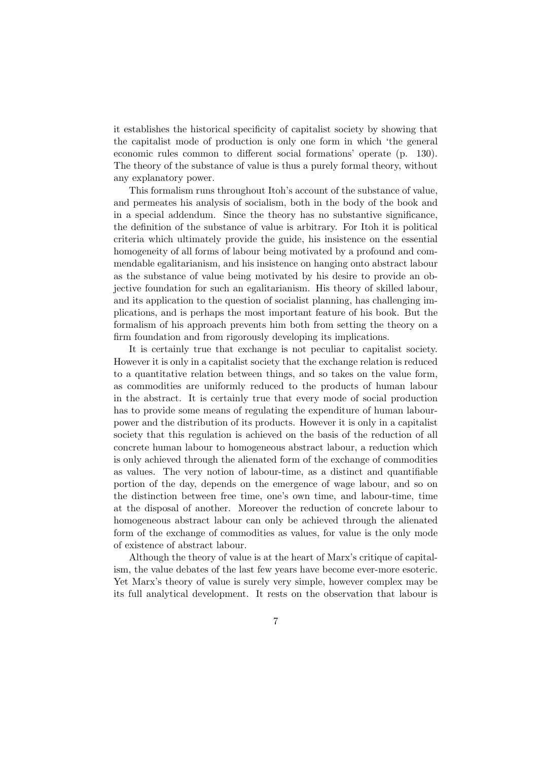it establishes the historical specificity of capitalist society by showing that the capitalist mode of production is only one form in which 'the general economic rules common to different social formations' operate (p. 130). The theory of the substance of value is thus a purely formal theory, without any explanatory power.

This formalism runs throughout Itoh's account of the substance of value, and permeates his analysis of socialism, both in the body of the book and in a special addendum. Since the theory has no substantive significance, the definition of the substance of value is arbitrary. For Itoh it is political criteria which ultimately provide the guide, his insistence on the essential homogeneity of all forms of labour being motivated by a profound and commendable egalitarianism, and his insistence on hanging onto abstract labour as the substance of value being motivated by his desire to provide an objective foundation for such an egalitarianism. His theory of skilled labour, and its application to the question of socialist planning, has challenging implications, and is perhaps the most important feature of his book. But the formalism of his approach prevents him both from setting the theory on a firm foundation and from rigorously developing its implications.

It is certainly true that exchange is not peculiar to capitalist society. However it is only in a capitalist society that the exchange relation is reduced to a quantitative relation between things, and so takes on the value form, as commodities are uniformly reduced to the products of human labour in the abstract. It is certainly true that every mode of social production has to provide some means of regulating the expenditure of human labourpower and the distribution of its products. However it is only in a capitalist society that this regulation is achieved on the basis of the reduction of all concrete human labour to homogeneous abstract labour, a reduction which is only achieved through the alienated form of the exchange of commodities as values. The very notion of labour-time, as a distinct and quantifiable portion of the day, depends on the emergence of wage labour, and so on the distinction between free time, one's own time, and labour-time, time at the disposal of another. Moreover the reduction of concrete labour to homogeneous abstract labour can only be achieved through the alienated form of the exchange of commodities as values, for value is the only mode of existence of abstract labour.

Although the theory of value is at the heart of Marx's critique of capitalism, the value debates of the last few years have become ever-more esoteric. Yet Marx's theory of value is surely very simple, however complex may be its full analytical development. It rests on the observation that labour is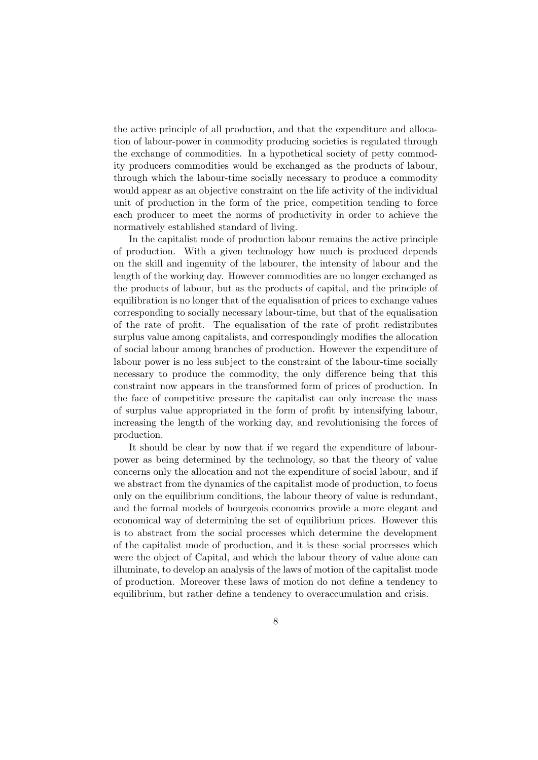the active principle of all production, and that the expenditure and allocation of labour-power in commodity producing societies is regulated through the exchange of commodities. In a hypothetical society of petty commodity producers commodities would be exchanged as the products of labour, through which the labour-time socially necessary to produce a commodity would appear as an objective constraint on the life activity of the individual unit of production in the form of the price, competition tending to force each producer to meet the norms of productivity in order to achieve the normatively established standard of living.

In the capitalist mode of production labour remains the active principle of production. With a given technology how much is produced depends on the skill and ingenuity of the labourer, the intensity of labour and the length of the working day. However commodities are no longer exchanged as the products of labour, but as the products of capital, and the principle of equilibration is no longer that of the equalisation of prices to exchange values corresponding to socially necessary labour-time, but that of the equalisation of the rate of profit. The equalisation of the rate of profit redistributes surplus value among capitalists, and correspondingly modifies the allocation of social labour among branches of production. However the expenditure of labour power is no less subject to the constraint of the labour-time socially necessary to produce the commodity, the only difference being that this constraint now appears in the transformed form of prices of production. In the face of competitive pressure the capitalist can only increase the mass of surplus value appropriated in the form of profit by intensifying labour, increasing the length of the working day, and revolutionising the forces of production.

It should be clear by now that if we regard the expenditure of labourpower as being determined by the technology, so that the theory of value concerns only the allocation and not the expenditure of social labour, and if we abstract from the dynamics of the capitalist mode of production, to focus only on the equilibrium conditions, the labour theory of value is redundant, and the formal models of bourgeois economics provide a more elegant and economical way of determining the set of equilibrium prices. However this is to abstract from the social processes which determine the development of the capitalist mode of production, and it is these social processes which were the object of Capital, and which the labour theory of value alone can illuminate, to develop an analysis of the laws of motion of the capitalist mode of production. Moreover these laws of motion do not define a tendency to equilibrium, but rather define a tendency to overaccumulation and crisis.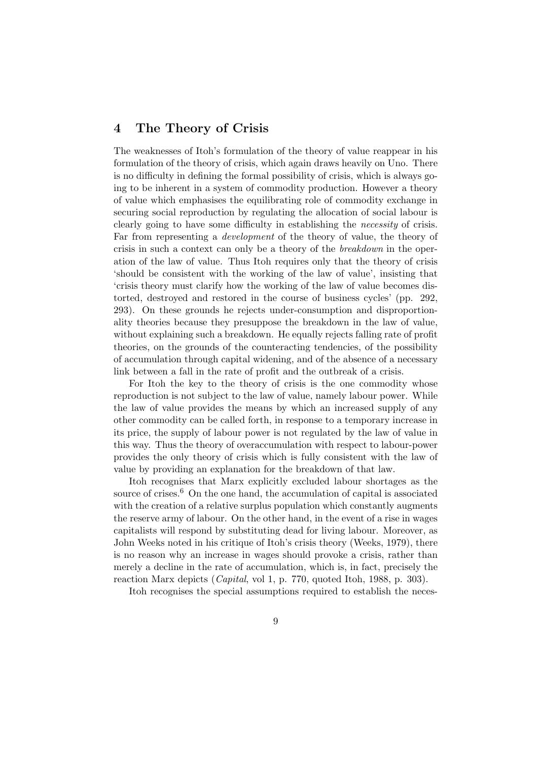#### 4 The Theory of Crisis

The weaknesses of Itoh's formulation of the theory of value reappear in his formulation of the theory of crisis, which again draws heavily on Uno. There is no difficulty in defining the formal possibility of crisis, which is always going to be inherent in a system of commodity production. However a theory of value which emphasises the equilibrating role of commodity exchange in securing social reproduction by regulating the allocation of social labour is clearly going to have some difficulty in establishing the necessity of crisis. Far from representing a development of the theory of value, the theory of crisis in such a context can only be a theory of the breakdown in the operation of the law of value. Thus Itoh requires only that the theory of crisis 'should be consistent with the working of the law of value', insisting that 'crisis theory must clarify how the working of the law of value becomes distorted, destroyed and restored in the course of business cycles' (pp. 292, 293). On these grounds he rejects under-consumption and disproportionality theories because they presuppose the breakdown in the law of value, without explaining such a breakdown. He equally rejects falling rate of profit theories, on the grounds of the counteracting tendencies, of the possibility of accumulation through capital widening, and of the absence of a necessary link between a fall in the rate of profit and the outbreak of a crisis.

For Itoh the key to the theory of crisis is the one commodity whose reproduction is not subject to the law of value, namely labour power. While the law of value provides the means by which an increased supply of any other commodity can be called forth, in response to a temporary increase in its price, the supply of labour power is not regulated by the law of value in this way. Thus the theory of overaccumulation with respect to labour-power provides the only theory of crisis which is fully consistent with the law of value by providing an explanation for the breakdown of that law.

Itoh recognises that Marx explicitly excluded labour shortages as the source of crises.<sup>6</sup> On the one hand, the accumulation of capital is associated with the creation of a relative surplus population which constantly augments the reserve army of labour. On the other hand, in the event of a rise in wages capitalists will respond by substituting dead for living labour. Moreover, as John Weeks noted in his critique of Itoh's crisis theory (Weeks, 1979), there is no reason why an increase in wages should provoke a crisis, rather than merely a decline in the rate of accumulation, which is, in fact, precisely the reaction Marx depicts (Capital, vol 1, p. 770, quoted Itoh, 1988, p. 303).

Itoh recognises the special assumptions required to establish the neces-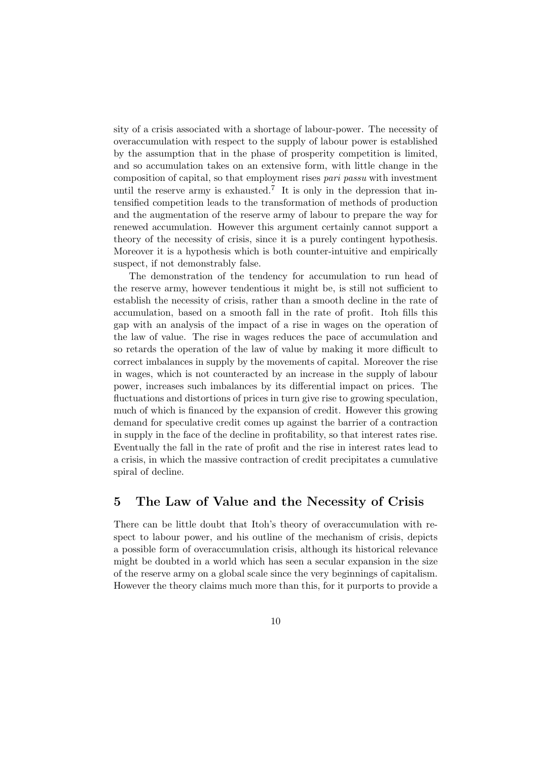sity of a crisis associated with a shortage of labour-power. The necessity of overaccumulation with respect to the supply of labour power is established by the assumption that in the phase of prosperity competition is limited, and so accumulation takes on an extensive form, with little change in the composition of capital, so that employment rises pari passu with investment until the reserve army is exhausted.<sup>7</sup> It is only in the depression that intensified competition leads to the transformation of methods of production and the augmentation of the reserve army of labour to prepare the way for renewed accumulation. However this argument certainly cannot support a theory of the necessity of crisis, since it is a purely contingent hypothesis. Moreover it is a hypothesis which is both counter-intuitive and empirically suspect, if not demonstrably false.

The demonstration of the tendency for accumulation to run head of the reserve army, however tendentious it might be, is still not sufficient to establish the necessity of crisis, rather than a smooth decline in the rate of accumulation, based on a smooth fall in the rate of profit. Itoh fills this gap with an analysis of the impact of a rise in wages on the operation of the law of value. The rise in wages reduces the pace of accumulation and so retards the operation of the law of value by making it more difficult to correct imbalances in supply by the movements of capital. Moreover the rise in wages, which is not counteracted by an increase in the supply of labour power, increases such imbalances by its differential impact on prices. The fluctuations and distortions of prices in turn give rise to growing speculation, much of which is financed by the expansion of credit. However this growing demand for speculative credit comes up against the barrier of a contraction in supply in the face of the decline in profitability, so that interest rates rise. Eventually the fall in the rate of profit and the rise in interest rates lead to a crisis, in which the massive contraction of credit precipitates a cumulative spiral of decline.

#### 5 The Law of Value and the Necessity of Crisis

There can be little doubt that Itoh's theory of overaccumulation with respect to labour power, and his outline of the mechanism of crisis, depicts a possible form of overaccumulation crisis, although its historical relevance might be doubted in a world which has seen a secular expansion in the size of the reserve army on a global scale since the very beginnings of capitalism. However the theory claims much more than this, for it purports to provide a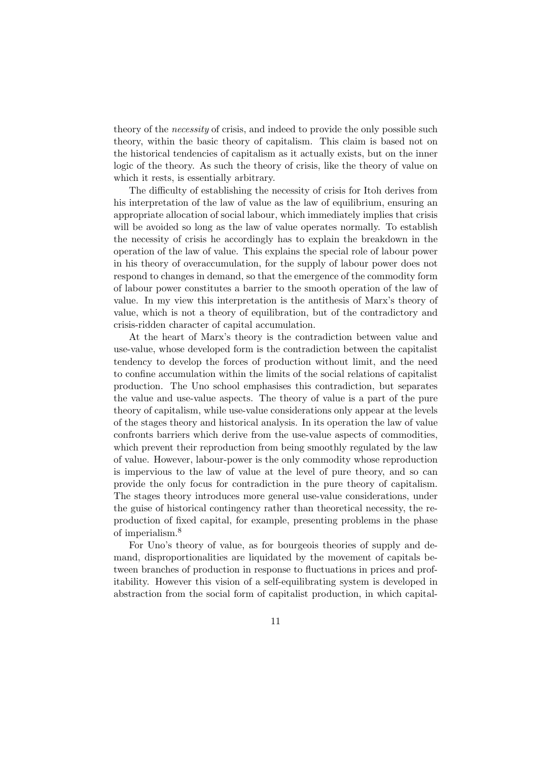theory of the *necessity* of crisis, and indeed to provide the only possible such theory, within the basic theory of capitalism. This claim is based not on the historical tendencies of capitalism as it actually exists, but on the inner logic of the theory. As such the theory of crisis, like the theory of value on which it rests, is essentially arbitrary.

The difficulty of establishing the necessity of crisis for Itoh derives from his interpretation of the law of value as the law of equilibrium, ensuring an appropriate allocation of social labour, which immediately implies that crisis will be avoided so long as the law of value operates normally. To establish the necessity of crisis he accordingly has to explain the breakdown in the operation of the law of value. This explains the special role of labour power in his theory of overaccumulation, for the supply of labour power does not respond to changes in demand, so that the emergence of the commodity form of labour power constitutes a barrier to the smooth operation of the law of value. In my view this interpretation is the antithesis of Marx's theory of value, which is not a theory of equilibration, but of the contradictory and crisis-ridden character of capital accumulation.

At the heart of Marx's theory is the contradiction between value and use-value, whose developed form is the contradiction between the capitalist tendency to develop the forces of production without limit, and the need to confine accumulation within the limits of the social relations of capitalist production. The Uno school emphasises this contradiction, but separates the value and use-value aspects. The theory of value is a part of the pure theory of capitalism, while use-value considerations only appear at the levels of the stages theory and historical analysis. In its operation the law of value confronts barriers which derive from the use-value aspects of commodities, which prevent their reproduction from being smoothly regulated by the law of value. However, labour-power is the only commodity whose reproduction is impervious to the law of value at the level of pure theory, and so can provide the only focus for contradiction in the pure theory of capitalism. The stages theory introduces more general use-value considerations, under the guise of historical contingency rather than theoretical necessity, the reproduction of fixed capital, for example, presenting problems in the phase of imperialism.<sup>8</sup>

For Uno's theory of value, as for bourgeois theories of supply and demand, disproportionalities are liquidated by the movement of capitals between branches of production in response to fluctuations in prices and profitability. However this vision of a self-equilibrating system is developed in abstraction from the social form of capitalist production, in which capital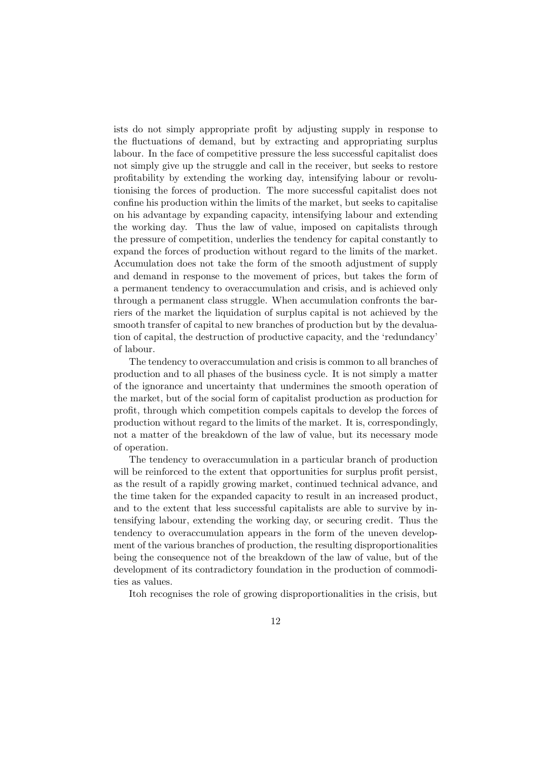ists do not simply appropriate profit by adjusting supply in response to the fluctuations of demand, but by extracting and appropriating surplus labour. In the face of competitive pressure the less successful capitalist does not simply give up the struggle and call in the receiver, but seeks to restore profitability by extending the working day, intensifying labour or revolutionising the forces of production. The more successful capitalist does not confine his production within the limits of the market, but seeks to capitalise on his advantage by expanding capacity, intensifying labour and extending the working day. Thus the law of value, imposed on capitalists through the pressure of competition, underlies the tendency for capital constantly to expand the forces of production without regard to the limits of the market. Accumulation does not take the form of the smooth adjustment of supply and demand in response to the movement of prices, but takes the form of a permanent tendency to overaccumulation and crisis, and is achieved only through a permanent class struggle. When accumulation confronts the barriers of the market the liquidation of surplus capital is not achieved by the smooth transfer of capital to new branches of production but by the devaluation of capital, the destruction of productive capacity, and the 'redundancy' of labour.

The tendency to overaccumulation and crisis is common to all branches of production and to all phases of the business cycle. It is not simply a matter of the ignorance and uncertainty that undermines the smooth operation of the market, but of the social form of capitalist production as production for profit, through which competition compels capitals to develop the forces of production without regard to the limits of the market. It is, correspondingly, not a matter of the breakdown of the law of value, but its necessary mode of operation.

The tendency to overaccumulation in a particular branch of production will be reinforced to the extent that opportunities for surplus profit persist, as the result of a rapidly growing market, continued technical advance, and the time taken for the expanded capacity to result in an increased product, and to the extent that less successful capitalists are able to survive by intensifying labour, extending the working day, or securing credit. Thus the tendency to overaccumulation appears in the form of the uneven development of the various branches of production, the resulting disproportionalities being the consequence not of the breakdown of the law of value, but of the development of its contradictory foundation in the production of commodities as values.

Itoh recognises the role of growing disproportionalities in the crisis, but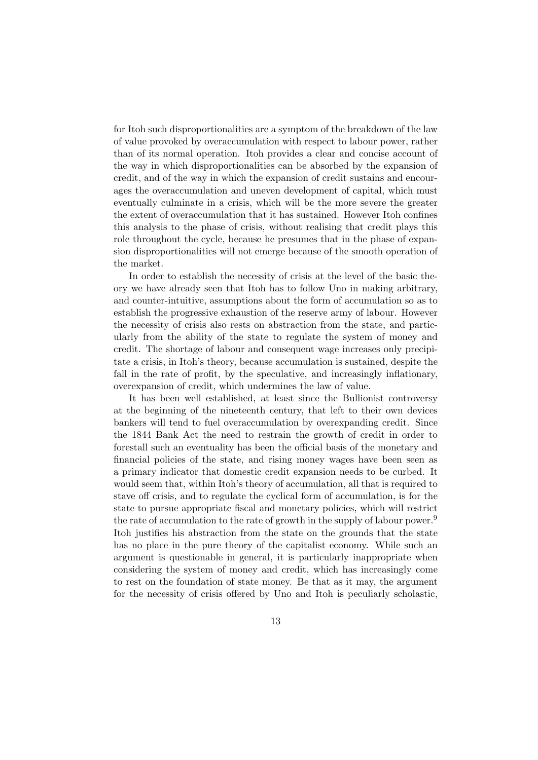for Itoh such disproportionalities are a symptom of the breakdown of the law of value provoked by overaccumulation with respect to labour power, rather than of its normal operation. Itoh provides a clear and concise account of the way in which disproportionalities can be absorbed by the expansion of credit, and of the way in which the expansion of credit sustains and encourages the overaccumulation and uneven development of capital, which must eventually culminate in a crisis, which will be the more severe the greater the extent of overaccumulation that it has sustained. However Itoh confines this analysis to the phase of crisis, without realising that credit plays this role throughout the cycle, because he presumes that in the phase of expansion disproportionalities will not emerge because of the smooth operation of the market.

In order to establish the necessity of crisis at the level of the basic theory we have already seen that Itoh has to follow Uno in making arbitrary, and counter-intuitive, assumptions about the form of accumulation so as to establish the progressive exhaustion of the reserve army of labour. However the necessity of crisis also rests on abstraction from the state, and particularly from the ability of the state to regulate the system of money and credit. The shortage of labour and consequent wage increases only precipitate a crisis, in Itoh's theory, because accumulation is sustained, despite the fall in the rate of profit, by the speculative, and increasingly inflationary, overexpansion of credit, which undermines the law of value.

It has been well established, at least since the Bullionist controversy at the beginning of the nineteenth century, that left to their own devices bankers will tend to fuel overaccumulation by overexpanding credit. Since the 1844 Bank Act the need to restrain the growth of credit in order to forestall such an eventuality has been the official basis of the monetary and financial policies of the state, and rising money wages have been seen as a primary indicator that domestic credit expansion needs to be curbed. It would seem that, within Itoh's theory of accumulation, all that is required to stave off crisis, and to regulate the cyclical form of accumulation, is for the state to pursue appropriate fiscal and monetary policies, which will restrict the rate of accumulation to the rate of growth in the supply of labour power.<sup>9</sup> Itoh justifies his abstraction from the state on the grounds that the state has no place in the pure theory of the capitalist economy. While such an argument is questionable in general, it is particularly inappropriate when considering the system of money and credit, which has increasingly come to rest on the foundation of state money. Be that as it may, the argument for the necessity of crisis offered by Uno and Itoh is peculiarly scholastic,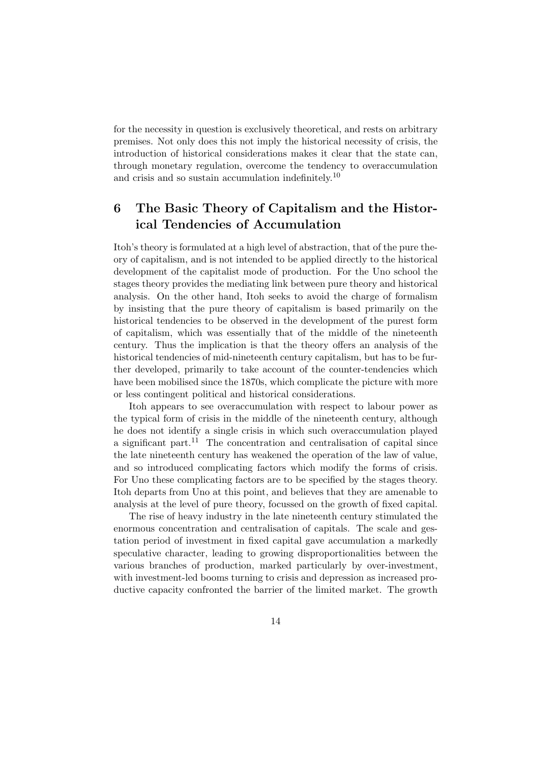for the necessity in question is exclusively theoretical, and rests on arbitrary premises. Not only does this not imply the historical necessity of crisis, the introduction of historical considerations makes it clear that the state can, through monetary regulation, overcome the tendency to overaccumulation and crisis and so sustain accumulation indefinitely.<sup>10</sup>

# 6 The Basic Theory of Capitalism and the Historical Tendencies of Accumulation

Itoh's theory is formulated at a high level of abstraction, that of the pure theory of capitalism, and is not intended to be applied directly to the historical development of the capitalist mode of production. For the Uno school the stages theory provides the mediating link between pure theory and historical analysis. On the other hand, Itoh seeks to avoid the charge of formalism by insisting that the pure theory of capitalism is based primarily on the historical tendencies to be observed in the development of the purest form of capitalism, which was essentially that of the middle of the nineteenth century. Thus the implication is that the theory offers an analysis of the historical tendencies of mid-nineteenth century capitalism, but has to be further developed, primarily to take account of the counter-tendencies which have been mobilised since the 1870s, which complicate the picture with more or less contingent political and historical considerations.

Itoh appears to see overaccumulation with respect to labour power as the typical form of crisis in the middle of the nineteenth century, although he does not identify a single crisis in which such overaccumulation played a significant part.<sup>11</sup> The concentration and centralisation of capital since the late nineteenth century has weakened the operation of the law of value, and so introduced complicating factors which modify the forms of crisis. For Uno these complicating factors are to be specified by the stages theory. Itoh departs from Uno at this point, and believes that they are amenable to analysis at the level of pure theory, focussed on the growth of fixed capital.

The rise of heavy industry in the late nineteenth century stimulated the enormous concentration and centralisation of capitals. The scale and gestation period of investment in fixed capital gave accumulation a markedly speculative character, leading to growing disproportionalities between the various branches of production, marked particularly by over-investment, with investment-led booms turning to crisis and depression as increased productive capacity confronted the barrier of the limited market. The growth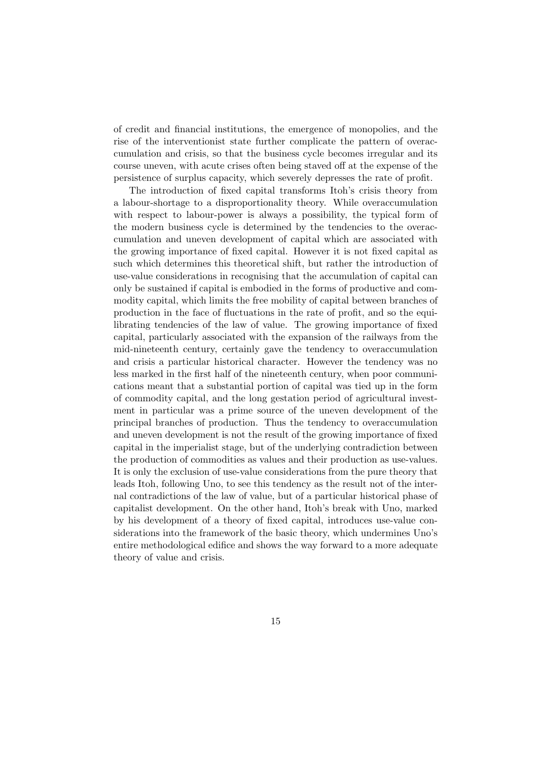of credit and financial institutions, the emergence of monopolies, and the rise of the interventionist state further complicate the pattern of overaccumulation and crisis, so that the business cycle becomes irregular and its course uneven, with acute crises often being staved off at the expense of the persistence of surplus capacity, which severely depresses the rate of profit.

The introduction of fixed capital transforms Itoh's crisis theory from a labour-shortage to a disproportionality theory. While overaccumulation with respect to labour-power is always a possibility, the typical form of the modern business cycle is determined by the tendencies to the overaccumulation and uneven development of capital which are associated with the growing importance of fixed capital. However it is not fixed capital as such which determines this theoretical shift, but rather the introduction of use-value considerations in recognising that the accumulation of capital can only be sustained if capital is embodied in the forms of productive and commodity capital, which limits the free mobility of capital between branches of production in the face of fluctuations in the rate of profit, and so the equilibrating tendencies of the law of value. The growing importance of fixed capital, particularly associated with the expansion of the railways from the mid-nineteenth century, certainly gave the tendency to overaccumulation and crisis a particular historical character. However the tendency was no less marked in the first half of the nineteenth century, when poor communications meant that a substantial portion of capital was tied up in the form of commodity capital, and the long gestation period of agricultural investment in particular was a prime source of the uneven development of the principal branches of production. Thus the tendency to overaccumulation and uneven development is not the result of the growing importance of fixed capital in the imperialist stage, but of the underlying contradiction between the production of commodities as values and their production as use-values. It is only the exclusion of use-value considerations from the pure theory that leads Itoh, following Uno, to see this tendency as the result not of the internal contradictions of the law of value, but of a particular historical phase of capitalist development. On the other hand, Itoh's break with Uno, marked by his development of a theory of fixed capital, introduces use-value considerations into the framework of the basic theory, which undermines Uno's entire methodological edifice and shows the way forward to a more adequate theory of value and crisis.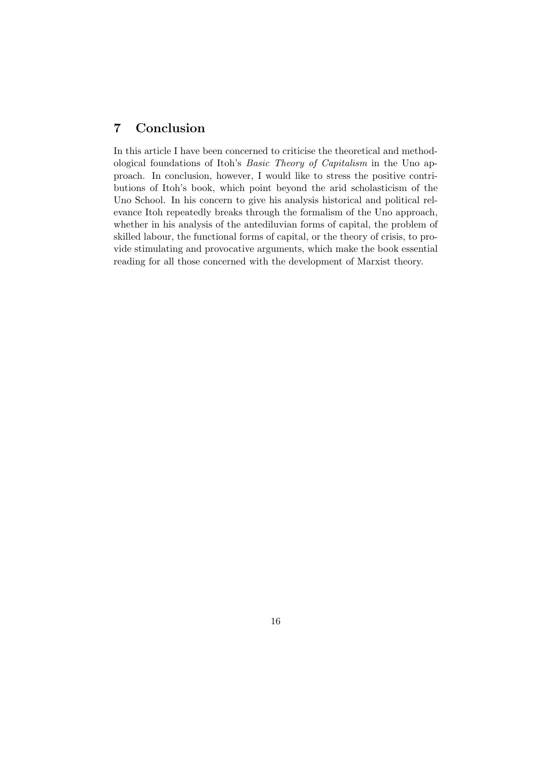### 7 Conclusion

In this article I have been concerned to criticise the theoretical and methodological foundations of Itoh's Basic Theory of Capitalism in the Uno approach. In conclusion, however, I would like to stress the positive contributions of Itoh's book, which point beyond the arid scholasticism of the Uno School. In his concern to give his analysis historical and political relevance Itoh repeatedly breaks through the formalism of the Uno approach, whether in his analysis of the antediluvian forms of capital, the problem of skilled labour, the functional forms of capital, or the theory of crisis, to provide stimulating and provocative arguments, which make the book essential reading for all those concerned with the development of Marxist theory.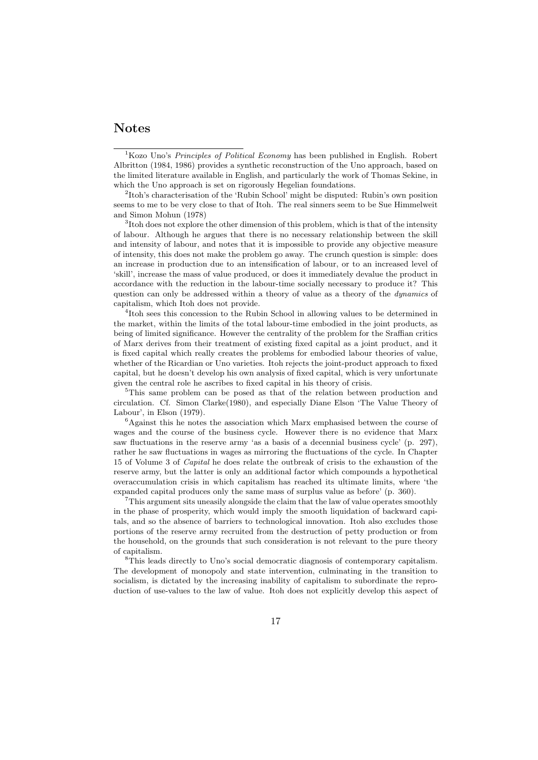### Notes

<sup>1</sup>Kozo Uno's *Principles of Political Economy* has been published in English. Robert Albritton (1984, 1986) provides a synthetic reconstruction of the Uno approach, based on the limited literature available in English, and particularly the work of Thomas Sekine, in which the Uno approach is set on rigorously Hegelian foundations.

<sup>2</sup>Itoh's characterisation of the 'Rubin School' might be disputed: Rubin's own position seems to me to be very close to that of Itoh. The real sinners seem to be Sue Himmelweit and Simon Mohun (1978)

<sup>3</sup>Itoh does not explore the other dimension of this problem, which is that of the intensity of labour. Although he argues that there is no necessary relationship between the skill and intensity of labour, and notes that it is impossible to provide any objective measure of intensity, this does not make the problem go away. The crunch question is simple: does an increase in production due to an intensification of labour, or to an increased level of 'skill', increase the mass of value produced, or does it immediately devalue the product in accordance with the reduction in the labour-time socially necessary to produce it? This question can only be addressed within a theory of value as a theory of the *dynamics* of capitalism, which Itoh does not provide.

<sup>4</sup>Itoh sees this concession to the Rubin School in allowing values to be determined in the market, within the limits of the total labour-time embodied in the joint products, as being of limited significance. However the centrality of the problem for the Sraffian critics of Marx derives from their treatment of existing fixed capital as a joint product, and it is fixed capital which really creates the problems for embodied labour theories of value, whether of the Ricardian or Uno varieties. Itoh rejects the joint-product approach to fixed capital, but he doesn't develop his own analysis of fixed capital, which is very unfortunate given the central role he ascribes to fixed capital in his theory of crisis.

<sup>5</sup>This same problem can be posed as that of the relation between production and circulation. Cf. Simon Clarke(1980), and especially Diane Elson 'The Value Theory of Labour', in Elson (1979).

 ${}^{6}$ Against this he notes the association which Marx emphasised between the course of wages and the course of the business cycle. However there is no evidence that Marx saw fluctuations in the reserve army 'as a basis of a decennial business cycle' (p. 297), rather he saw fluctuations in wages as mirroring the fluctuations of the cycle. In Chapter 15 of Volume 3 of Capital he does relate the outbreak of crisis to the exhaustion of the reserve army, but the latter is only an additional factor which compounds a hypothetical overaccumulation crisis in which capitalism has reached its ultimate limits, where 'the expanded capital produces only the same mass of surplus value as before' (p. 360).

 $7$ This argument sits uneasily alongside the claim that the law of value operates smoothly in the phase of prosperity, which would imply the smooth liquidation of backward capitals, and so the absence of barriers to technological innovation. Itoh also excludes those portions of the reserve army recruited from the destruction of petty production or from the household, on the grounds that such consideration is not relevant to the pure theory of capitalism.

<sup>8</sup>This leads directly to Uno's social democratic diagnosis of contemporary capitalism. The development of monopoly and state intervention, culminating in the transition to socialism, is dictated by the increasing inability of capitalism to subordinate the reproduction of use-values to the law of value. Itoh does not explicitly develop this aspect of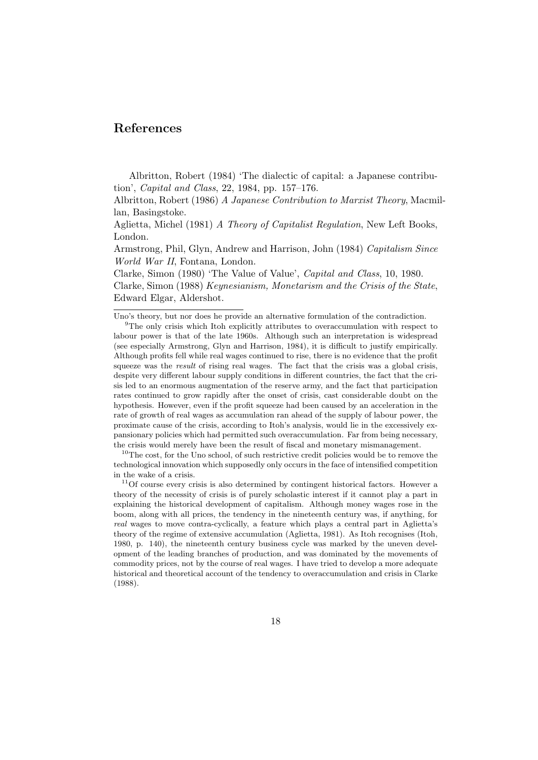## References

Albritton, Robert (1984) 'The dialectic of capital: a Japanese contribution', Capital and Class, 22, 1984, pp. 157–176.

Albritton, Robert (1986) A Japanese Contribution to Marxist Theory, Macmillan, Basingstoke.

Aglietta, Michel (1981) A Theory of Capitalist Regulation, New Left Books, London.

Armstrong, Phil, Glyn, Andrew and Harrison, John (1984) Capitalism Since World War II, Fontana, London.

Clarke, Simon (1980) 'The Value of Value', Capital and Class, 10, 1980. Clarke, Simon (1988) Keynesianism, Monetarism and the Crisis of the State, Edward Elgar, Aldershot.

Uno's theory, but nor does he provide an alternative formulation of the contradiction.

<sup>9</sup>The only crisis which Itoh explicitly attributes to overaccumulation with respect to labour power is that of the late 1960s. Although such an interpretation is widespread (see especially Armstrong, Glyn and Harrison, 1984), it is difficult to justify empirically. Although profits fell while real wages continued to rise, there is no evidence that the profit squeeze was the result of rising real wages. The fact that the crisis was a global crisis, despite very different labour supply conditions in different countries, the fact that the crisis led to an enormous augmentation of the reserve army, and the fact that participation rates continued to grow rapidly after the onset of crisis, cast considerable doubt on the hypothesis. However, even if the profit squeeze had been caused by an acceleration in the rate of growth of real wages as accumulation ran ahead of the supply of labour power, the proximate cause of the crisis, according to Itoh's analysis, would lie in the excessively expansionary policies which had permitted such overaccumulation. Far from being necessary, the crisis would merely have been the result of fiscal and monetary mismanagement.

<sup>10</sup>The cost, for the Uno school, of such restrictive credit policies would be to remove the technological innovation which supposedly only occurs in the face of intensified competition in the wake of a crisis.

 $11$ Of course every crisis is also determined by contingent historical factors. However a theory of the necessity of crisis is of purely scholastic interest if it cannot play a part in explaining the historical development of capitalism. Although money wages rose in the boom, along with all prices, the tendency in the nineteenth century was, if anything, for real wages to move contra-cyclically, a feature which plays a central part in Aglietta's theory of the regime of extensive accumulation (Aglietta, 1981). As Itoh recognises (Itoh, 1980, p. 140), the nineteenth century business cycle was marked by the uneven development of the leading branches of production, and was dominated by the movements of commodity prices, not by the course of real wages. I have tried to develop a more adequate historical and theoretical account of the tendency to overaccumulation and crisis in Clarke (1988).